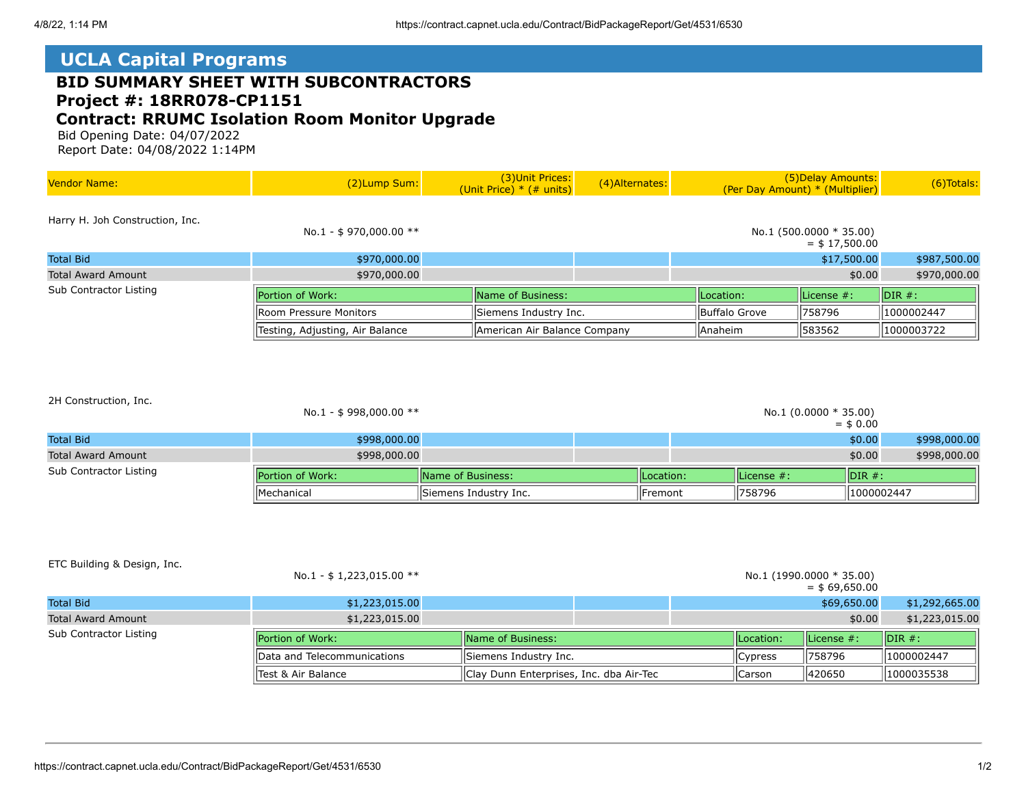## **UCLA Capital Programs**

## **BID SUMMARY SHEET WITH SUBCONTRACTORS Project #: 18RR078-CP1151 Contract: RRUMC Isolation Room Monitor Upgrade**

 Bid Opening Date: 04/07/2022 Report Date: 04/08/2022 1:14PM

| <b>Vendor Name:</b>             | (2)Lump Sum:                                                                                                         | (3) Unit Prices:<br>(Unit Price) $*$ (# units) | (4) Alternates: |                     | (5) Delay Amounts:<br>(Per Day Amount) * (Multiplier) | (6) Totals:        |
|---------------------------------|----------------------------------------------------------------------------------------------------------------------|------------------------------------------------|-----------------|---------------------|-------------------------------------------------------|--------------------|
| Harry H. Joh Construction, Inc. | No.1 - \$970,000.00 $**$                                                                                             |                                                |                 |                     | No.1 $(500.0000 * 35.00)$<br>$=$ \$ 17,500.00         |                    |
| <b>Total Bid</b>                | \$970,000.00                                                                                                         |                                                |                 |                     | \$17,500.00                                           | \$987,500.00       |
| Total Award Amount              | \$970,000.00                                                                                                         |                                                |                 |                     | \$0.00                                                | \$970,000.00       |
| Sub Contractor Listing          | Portion of Work:                                                                                                     | <b>Name of Business:</b>                       |                 |                     | License #:                                            | $\parallel$ DIR #: |
|                                 | Siemens Industry Inc.<br>llRoom Pressure Monitors<br>Testing, Adjusting, Air Balance<br>American Air Balance Company |                                                | Buffalo Grove   | 758796              | 1000002447                                            |                    |
|                                 |                                                                                                                      |                                                |                 | Anaheim<br>  583562 |                                                       | 1000003722         |

|  | 2H Construction, Inc. |  |
|--|-----------------------|--|
|--|-----------------------|--|

|                           | <b>Mechanical</b>        | Siemens Industry Inc.     | llFremont  | 758796                  | 1000002447                  |              |
|---------------------------|--------------------------|---------------------------|------------|-------------------------|-----------------------------|--------------|
| Sub Contractor Listing    | <b>IPortion of Work:</b> | <b>IName of Business:</b> | ILocation: | $II$ License $#$ :      | $\overline{\text{IDIR}}$ #: |              |
| <b>Total Award Amount</b> | \$998,000.00             |                           |            |                         | \$0.00                      | \$998,000.00 |
| <b>Total Bid</b>          | \$998,000.00             |                           |            |                         | \$0.00                      | \$998,000.00 |
|                           | No.1 - \$ 998,000.00 **  |                           |            | No.1 $(0.0000 * 35.00)$ | $=$ \$ 0.00                 |              |

## ETC Building & Design, Inc.

|                           | No.1 - \$ 1,223,015.00 $**$  |                                         |  |                 |                | No.1 (1990.0000 * 35.00)<br>$=$ \$69.650.00 |                             |
|---------------------------|------------------------------|-----------------------------------------|--|-----------------|----------------|---------------------------------------------|-----------------------------|
| <b>Total Bid</b>          | \$1,223,015.00               |                                         |  |                 |                | \$69,650.00                                 | \$1,292,665.00              |
| <b>Total Award Amount</b> | \$1,223,015.00               |                                         |  |                 |                | \$0.00                                      | \$1,223,015.00              |
| Sub Contractor Listing    | <b>IPortion of Work:</b>     | <b>IName of Business:</b>               |  |                 | ILocation:     | $\parallel$ License #:                      | $\overline{\text{IDIR}}$ #: |
|                           | IData and Telecommunications | Siemens Industry Inc.                   |  | <b>C</b> vpress | 1758796        | 1000002447                                  |                             |
|                           | Test & Air Balance           | Clay Dunn Enterprises, Inc. dba Air-Tec |  |                 | <b>ICarson</b> | 420650                                      | 1000035538                  |